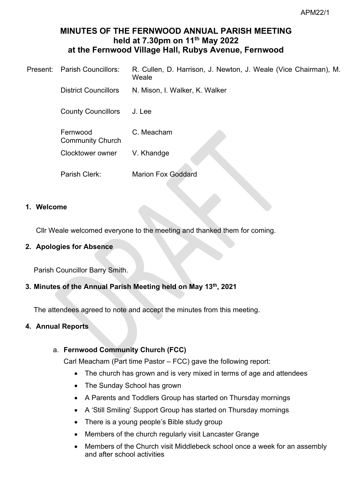# **MINUTES OF THE FERNWOOD ANNUAL PARISH MEETING held at 7.30pm on 11 th May 2022 at the Fernwood Village Hall, Rubys Avenue, Fernwood**

| Present: Parish Councillors:        | R. Cullen, D. Harrison, J. Newton, J. Weale (Vice Chairman), M.<br>Weale |
|-------------------------------------|--------------------------------------------------------------------------|
| <b>District Councillors</b>         | N. Mison, I. Walker, K. Walker                                           |
| <b>County Councillors</b>           | J. Lee                                                                   |
| Fernwood<br><b>Community Church</b> | C. Meacham                                                               |
| <b>Clocktower owner</b>             | V. Khandge                                                               |
| Parish Clerk:                       | <b>Marion Fox Goddard</b>                                                |

### **1. Welcome**

Cllr Weale welcomed everyone to the meeting and thanked them for coming.

## **2. Apologies for Absence**

Parish Councillor Barry Smith.

# **3. Minutes of the Annual Parish Meeting held on May 13th, 2021**

The attendees agreed to note and accept the minutes from this meeting.

# **4. Annual Reports**

# a. **Fernwood Community Church (FCC)**

Carl Meacham (Part time Pastor – FCC) gave the following report:

- The church has grown and is very mixed in terms of age and attendees
- The Sunday School has grown
- A Parents and Toddlers Group has started on Thursday mornings
- A 'Still Smiling' Support Group has started on Thursday mornings
- There is a young people's Bible study group
- Members of the church regularly visit Lancaster Grange
- Members of the Church visit Middlebeck school once a week for an assembly and after school activities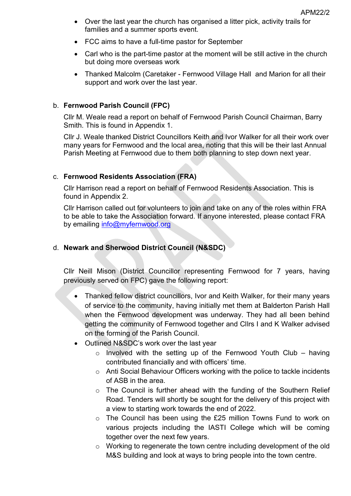- Over the last year the church has organised a litter pick, activity trails for families and a summer sports event.
- FCC aims to have a full-time pastor for September
- Carl who is the part-time pastor at the moment will be still active in the church but doing more overseas work
- Thanked Malcolm (Caretaker Fernwood Village Hall and Marion for all their support and work over the last year.

### b. **Fernwood Parish Council (FPC)**

Cllr M. Weale read a report on behalf of Fernwood Parish Council Chairman, Barry Smith. This is found in Appendix 1.

Cllr J. Weale thanked District Councillors Keith and Ivor Walker for all their work over many years for Fernwood and the local area, noting that this will be their last Annual Parish Meeting at Fernwood due to them both planning to step down next year.

### c. **Fernwood Residents Association (FRA)**

Cllr Harrison read a report on behalf of Fernwood Residents Association. This is found in Appendix 2.

Cllr Harrison called out for volunteers to join and take on any of the roles within FRA to be able to take the Association forward. If anyone interested, please contact FRA by emailing [info@myfernwood.org](mailto:info@myfernwood.org)

# d. **Newark and Sherwood District Council (N&SDC)**

Cllr Neill Mison (District Councillor representing Fernwood for 7 years, having previously served on FPC) gave the following report:

- Thanked fellow district councillors, Ivor and Keith Walker, for their many years of service to the community, having initially met them at Balderton Parish Hall when the Fernwood development was underway. They had all been behind getting the community of Fernwood together and Cllrs I and K Walker advised on the forming of the Parish Council.
- Outlined N&SDC's work over the last year
	- $\circ$  Involved with the setting up of the Fernwood Youth Club having contributed financially and with officers' time.
	- o Anti Social Behaviour Officers working with the police to tackle incidents of ASB in the area.
	- o The Council is further ahead with the funding of the Southern Relief Road. Tenders will shortly be sought for the delivery of this project with a view to starting work towards the end of 2022.
	- o The Council has been using the £25 million Towns Fund to work on various projects including the IASTI College which will be coming together over the next few years.
	- o Working to regenerate the town centre including development of the old M&S building and look at ways to bring people into the town centre.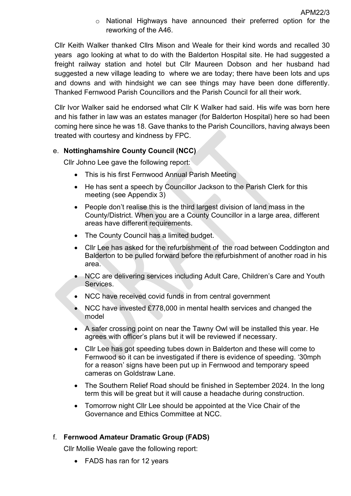o National Highways have announced their preferred option for the reworking of the A46.

Cllr Keith Walker thanked Cllrs Mison and Weale for their kind words and recalled 30 years ago looking at what to do with the Balderton Hospital site. He had suggested a freight railway station and hotel but Cllr Maureen Dobson and her husband had suggested a new village leading to where we are today; there have been lots and ups and downs and with hindsight we can see things may have been done differently. Thanked Fernwood Parish Councillors and the Parish Council for all their work.

Cllr Ivor Walker said he endorsed what Cllr K Walker had said. His wife was born here and his father in law was an estates manager (for Balderton Hospital) here so had been coming here since he was 18. Gave thanks to the Parish Councillors, having always been treated with courtesy and kindness by FPC.

### e. **Nottinghamshire County Council (NCC)**

Cllr Johno Lee gave the following report:

- This is his first Fernwood Annual Parish Meeting
- He has sent a speech by Councillor Jackson to the Parish Clerk for this meeting (see Appendix 3)
- People don't realise this is the third largest division of land mass in the County/District. When you are a County Councillor in a large area, different areas have different requirements.
- The County Council has a limited budget.
- Cllr Lee has asked for the refurbishment of the road between Coddington and Balderton to be pulled forward before the refurbishment of another road in his area.
- NCC are delivering services including Adult Care, Children's Care and Youth Services.
- NCC have received covid funds in from central government
- NCC have invested £778,000 in mental health services and changed the model
- A safer crossing point on near the Tawny Owl will be installed this year. He agrees with officer's plans but it will be reviewed if necessary.
- Cllr Lee has got speeding tubes down in Balderton and these will come to Fernwood so it can be investigated if there is evidence of speeding. '30mph for a reason' signs have been put up in Fernwood and temporary speed cameras on Goldstraw Lane.
- The Southern Relief Road should be finished in September 2024. In the long term this will be great but it will cause a headache during construction.
- Tomorrow night Cllr Lee should be appointed at the Vice Chair of the Governance and Ethics Committee at NCC.

### f. **Fernwood Amateur Dramatic Group (FADS)**

Cllr Mollie Weale gave the following report:

• FADS has ran for 12 years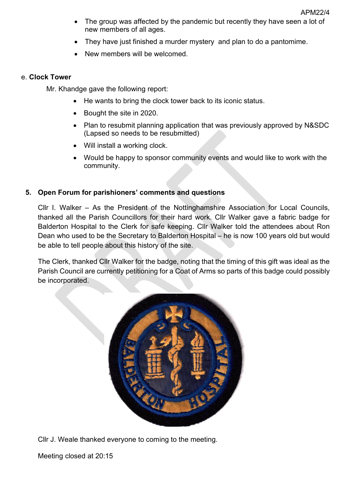- The group was affected by the pandemic but recently they have seen a lot of new members of all ages.
- They have just finished a murder mystery and plan to do a pantomime.
- New members will be welcomed.

### e. **Clock Tower**

Mr. Khandge gave the following report:

- He wants to bring the clock tower back to its iconic status.
- Bought the site in 2020.
- Plan to resubmit planning application that was previously approved by N&SDC (Lapsed so needs to be resubmitted)
- Will install a working clock.
- Would be happy to sponsor community events and would like to work with the community.

## **5. Open Forum for parishioners' comments and questions**

Cllr I. Walker – As the President of the Nottinghamshire Association for Local Councils, thanked all the Parish Councillors for their hard work. Cllr Walker gave a fabric badge for Balderton Hospital to the Clerk for safe keeping. Cllr Walker told the attendees about Ron Dean who used to be the Secretary to Balderton Hospital – he is now 100 years old but would be able to tell people about this history of the site.

The Clerk, thanked Cllr Walker for the badge, noting that the timing of this gift was ideal as the Parish Council are currently petitioning for a Coat of Arms so parts of this badge could possibly be incorporated.



Cllr J. Weale thanked everyone to coming to the meeting.

Meeting closed at 20:15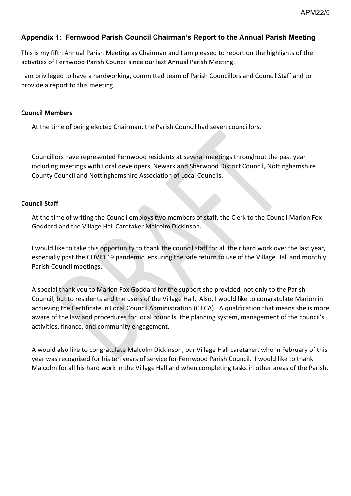## **Appendix 1: Fernwood Parish Council Chairman's Report to the Annual Parish Meeting**

This is my fifth Annual Parish Meeting as Chairman and I am pleased to report on the highlights of the activities of Fernwood Parish Council since our last Annual Parish Meeting.

I am privileged to have a hardworking, committed team of Parish Councillors and Council Staff and to provide a report to this meeting.

#### **Council Members**

At the time of being elected Chairman, the Parish Council had seven councillors.

Councillors have represented Fernwood residents at several meetings throughout the past year including meetings with Local developers, Newark and Sherwood District Council, Nottinghamshire County Council and Nottinghamshire Association of Local Councils.

### **Council Staff**

At the time of writing the Council employs two members of staff, the Clerk to the Council Marion Fox Goddard and the Village Hall Caretaker Malcolm Dickinson.

I would like to take this opportunity to thank the council staff for all their hard work over the last year, especially post the COVID 19 pandemic, ensuring the safe return to use of the Village Hall and monthly Parish Council meetings.

A special thank you to Marion Fox Goddard for the support she provided, not only to the Parish Council, but to residents and the users of the Village Hall. Also, I would like to congratulate Marion in achieving the Certificate in Local Council Administration (CiLCA). A qualification that means she is more aware of the law and procedures for local councils, the planning system, management of the council's activities, finance, and community engagement.

A would also like to congratulate Malcolm Dickinson, our Village Hall caretaker, who in February of this year was recognised for his ten years of service for Fernwood Parish Council. I would like to thank Malcolm for all his hard work in the Village Hall and when completing tasks in other areas of the Parish.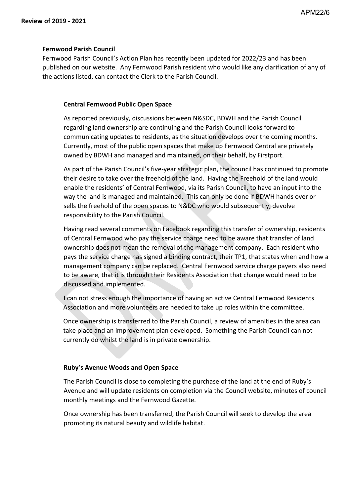#### **Fernwood Parish Council**

Fernwood Parish Council's Action Plan has recently been updated for 2022/23 and has been published on our website. Any Fernwood Parish resident who would like any clarification of any of the actions listed, can contact the Clerk to the Parish Council.

#### **Central Fernwood Public Open Space**

As reported previously, discussions between N&SDC, BDWH and the Parish Council regarding land ownership are continuing and the Parish Council looks forward to communicating updates to residents, as the situation develops over the coming months. Currently, most of the public open spaces that make up Fernwood Central are privately owned by BDWH and managed and maintained, on their behalf, by Firstport.

As part of the Parish Council's five-year strategic plan, the council has continued to promote their desire to take over the freehold of the land. Having the Freehold of the land would enable the residents' of Central Fernwood, via its Parish Council, to have an input into the way the land is managed and maintained. This can only be done if BDWH hands over or sells the freehold of the open spaces to N&DC who would subsequently, devolve responsibility to the Parish Council.

Having read several comments on Facebook regarding this transfer of ownership, residents of Central Fernwood who pay the service charge need to be aware that transfer of land ownership does not mean the removal of the management company. Each resident who pays the service charge has signed a binding contract, their TP1, that states when and how a management company can be replaced. Central Fernwood service charge payers also need to be aware, that it is through their Residents Association that change would need to be discussed and implemented.

I can not stress enough the importance of having an active Central Fernwood Residents Association and more volunteers are needed to take up roles within the committee.

Once ownership is transferred to the Parish Council, a review of amenities in the area can take place and an improvement plan developed. Something the Parish Council can not currently do whilst the land is in private ownership.

#### **Ruby's Avenue Woods and Open Space**

The Parish Council is close to completing the purchase of the land at the end of Ruby's Avenue and will update residents on completion via the Council website, minutes of council monthly meetings and the Fernwood Gazette.

Once ownership has been transferred, the Parish Council will seek to develop the area promoting its natural beauty and wildlife habitat.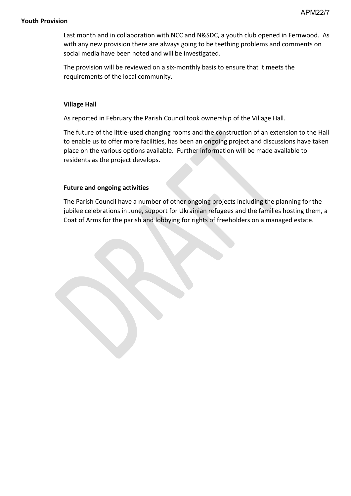#### **Youth Provision**

Last month and in collaboration with NCC and N&SDC, a youth club opened in Fernwood. As with any new provision there are always going to be teething problems and comments on social media have been noted and will be investigated.

The provision will be reviewed on a six-monthly basis to ensure that it meets the requirements of the local community.

#### **Village Hall**

As reported in February the Parish Council took ownership of the Village Hall.

The future of the little-used changing rooms and the construction of an extension to the Hall to enable us to offer more facilities, has been an ongoing project and discussions have taken place on the various options available. Further information will be made available to residents as the project develops.

#### **Future and ongoing activities**

The Parish Council have a number of other ongoing projects including the planning for the jubilee celebrations in June, support for Ukrainian refugees and the families hosting them, a Coat of Arms for the parish and lobbying for rights of freeholders on a managed estate.

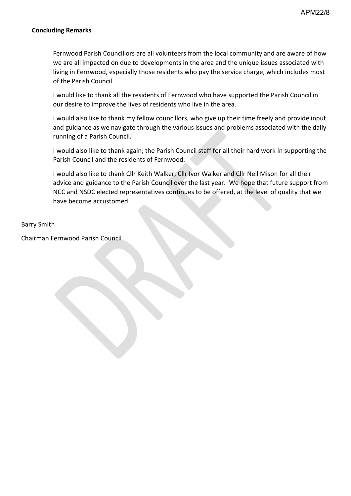#### **Concluding Remarks**

Fernwood Parish Councillors are all volunteers from the local community and are aware of how we are all impacted on due to developments in the area and the unique issues associated with living in Fernwood, especially those residents who pay the service charge, which includes most of the Parish Council.

I would like to thank all the residents of Fernwood who have supported the Parish Council in our desire to improve the lives of residents who live in the area.

I would also like to thank my fellow councillors, who give up their time freely and provide input and guidance as we navigate through the various issues and problems associated with the daily running of a Parish Council.

I would also like to thank again; the Parish Council staff for all their hard work in supporting the Parish Council and the residents of Fernwood.

I would also like to thank Cllr Keith Walker, Cllr Ivor Walker and Cllr Neil Mison for all their advice and guidance to the Parish Council over the last year. We hope that future support from NCC and NSDC elected representatives continues to be offered, at the level of quality that we have become accustomed.

#### Barry Smith

Chairman Fernwood Parish Council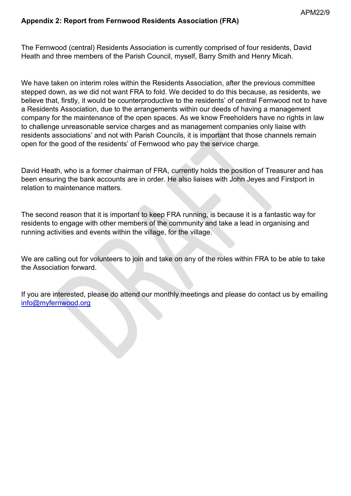### **Appendix 2: Report from Fernwood Residents Association (FRA)**

The Fernwood (central) Residents Association is currently comprised of four residents, David Heath and three members of the Parish Council, myself, Barry Smith and Henry Micah.

We have taken on interim roles within the Residents Association, after the previous committee stepped down, as we did not want FRA to fold. We decided to do this because, as residents, we believe that, firstly, it would be counterproductive to the residents' of central Fernwood not to have a Residents Association, due to the arrangements within our deeds of having a management company for the maintenance of the open spaces. As we know Freeholders have no rights in law to challenge unreasonable service charges and as management companies only liaise with residents associations' and not with Parish Councils, it is important that those channels remain open for the good of the residents' of Fernwood who pay the service charge.

David Heath, who is a former chairman of FRA, currently holds the position of Treasurer and has been ensuring the bank accounts are in order. He also liaises with John Jeyes and Firstport in relation to maintenance matters.

The second reason that it is important to keep FRA running, is because it is a fantastic way for residents to engage with other members of the community and take a lead in organising and running activities and events within the village, for the village.

We are calling out for volunteers to join and take on any of the roles within FRA to be able to take the Association forward.

If you are interested, please do attend our monthly meetings and please do contact us by emailing [info@myfernwood.org](mailto:info@myfernwood.org)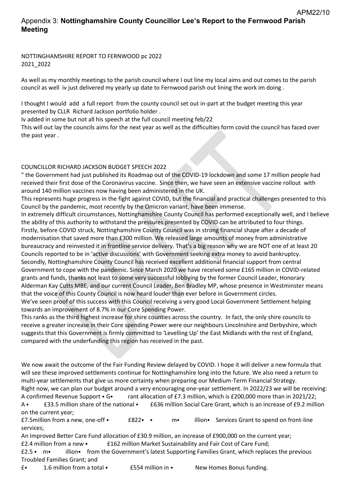## Appendix 3: **Nottinghamshire County Councillor Lee's Report to the Fernwood Parish Meeting**

NOTTINGHAMSHIRE REPORT TO FERNWOOD pc 2022 2021\_2022

As well as my monthly meetings to the parish council where I out line my local aims and out comes to the parish council as well iv just delivered my yearly up date to Fernwood parish out lining the work im doing .

I thought I would add a full report from the county council set out in-part at the budget meeting this year presented by CLLR Richard Jackson portfolio holder .

Iv added in some but not all his speech at the full council meeting feb/22

This will out lay the councils aims for the next year as well as the difficulties form covid the council has faced over the past year .

#### COUNCILLOR RICHARD JACKSON BUDGET SPEECH 2022

" the Government had just published its Roadmap out of the COVID-19 lockdown and some 17 million people had received their first dose of the Coronavirus vaccine. Since then, we have seen an extensive vaccine rollout with around 140 million vaccines now having been administered in the UK.

This represents huge progress in the fight against COVID, but the financial and practical challenges presented to this Council by the pandemic, most recently by the Omicron variant, have been immense.

In extremely difficult circumstances, Nottinghamshire County Council has performed exceptionally well, and I believe the ability of this authority to withstand the pressures presented by COVID can be attributed to four things. Firstly, before COVID struck, Nottinghamshire County Council was in strong financial shape after a decade of modernisation that saved more than £300 million. We released large amounts of money from administrative bureaucracy and reinvested it in frontline service delivery. That's a big reason why we are NOT one of at least 20 Councils reported to be in 'active discussions' with Government seeking extra money to avoid bankruptcy. Secondly, Nottinghamshire County Council has received excellent additional financial support from central Government to cope with the pandemic. Since March 2020 we have received some £165 million in COVID-related grants and funds, thanks not least to some very successful lobbying by the former Council Leader, Honorary Alderman Kay Cutts MBE, and our current Council Leader, Ben Bradley MP, whose presence in Westminster means that the voice of this County Council is now heard louder than ever before in Government circles. We've seen proof of this success with this Council receiving a very good Local Government Settlement helping towards an improvement of 8.7% in our Core Spending Power.

This ranks as the third highest increase for shire counties across the country. In fact, the only shire councils to receive a greater increase in their Core spending Power were our neighbours Lincolnshire and Derbyshire, which suggests that this Government is firmly committed to 'Levelling Up' the East Midlands with the rest of England, compared with the underfunding this region has received in the past.

We now await the outcome of the Fair Funding Review delayed by COVID. I hope it will deliver a new formula that will see these improved settlements continue for Nottinghamshire long into the future. We also need a return to multi-year settlements that give us more certainty when preparing our Medium-Term Financial Strategy. Right now, we can plan our budget around a very encouraging one-year settlement. In 2022/23 we will be receiving: A confirmed Revenue Support • G• rant allocation of £7.3 million, which is £200,000 more than in 2021/22;

A • E33.5 million share of the national • E636 million Social Care Grant, which is an increase of £9.2 million on the current year;

£7.5million from a new, one-off ⦁ £822⦁ ⦁ m⦁ illion⦁ Services Grant to spend on front-line services;

An Improved Better Care Fund allocation of £30.9 million, an increase of £900,000 on the current year; £2.4 million from a new ⦁ £162 million Market Sustainability and Fair Cost of Care Fund;

£2.5 ⦁ m⦁ illion⦁ from the Government's latest Supporting Families Grant, which replaces the previous Troubled Families Grant; and

£⦁ 1.6 million from a total ⦁ £554 million in ⦁ New Homes Bonus funding.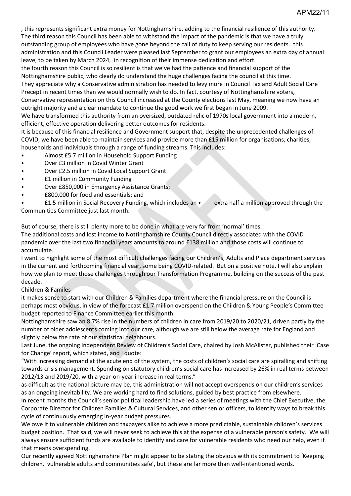, this represents significant extra money for Nottinghamshire, adding to the financial resilience of this authority. The third reason this Council has been able to withstand the impact of the pandemic is that we have a truly outstanding group of employees who have gone beyond the call of duty to keep serving our residents. this administration and this Council Leader were pleased last September to grant our employees an extra day of annual leave, to be taken by March 2024, in recognition of their immense dedication and effort.

the fourth reason this Council is so resilient is that we've had the patience and financial support of the Nottinghamshire public, who clearly do understand the huge challenges facing the council at this time.

They appreciate why a Conservative administration has needed to levy more in Council Tax and Adult Social Care Precept in recent times than we would normally wish to do. In fact, courtesy of Nottinghamshire voters,

Conservative representation on this Council increased at the County elections last May, meaning we now have an outright majority and a clear mandate to continue the good work we first began in June 2009.

We have transformed this authority from an oversized, outdated relic of 1970s local government into a modern, efficient, effective operation delivering better outcomes for residents.

It is because of this financial resilience and Government support that, despite the unprecedented challenges of COVID, we have been able to maintain services and provide more than £15 million for organisations, charities, households and individuals through a range of funding streams. This includes:

- ⦁ Almost £5.7 million in Household Support Funding
- ⦁ Over £3 million in Covid Winter Grant
- ⦁ Over £2.5 million in Covid Local Support Grant
- ⦁ £1 million in Community Funding
- Over £850,000 in Emergency Assistance Grants;
- ⦁ £800,000 for food and essentials; and

⦁ £1.5 million in Social Recovery Funding, which includes an ⦁ extra half a million approved through the Communities Committee just last month.

But of course, there is still plenty more to be done in what are very far from 'normal' times. The additional costs and lost income to Nottinghamshire County Council directly associated with the COVID pandemic over the last two financial years amounts to around £138 million and those costs will continue to accumulate.

I want to highlight some of the most difficult challenges facing our Children's, Adults and Place department services in the current and forthcoming financial year, some being COVID-related. But on a positive note, I will also explain how we plan to meet those challenges through our Transformation Programme, building on the success of the past decade.

#### Children & Familes

it makes sense to start with our Children & Families department where the financial pressure on the Council is perhaps most obvious, in view of the forecast £1.7 million overspend on the Children & Young People's Committee budget reported to Finance Committee earlier this month.

Nottinghamshire saw an 8.7% rise in the numbers of children in care from 2019/20 to 2020/21, driven partly by the number of older adolescents coming into our care, although we are still below the average rate for England and slightly below the rate of our statistical neighbours.

Last June, the ongoing Independent Review of Children's Social Care, chaired by Josh McAlister, published their 'Case for Change' report, which stated, and I quote:

"With increasing demand at the acute end of the system, the costs of children's social care are spiralling and shifting towards crisis management. Spending on statutory children's social care has increased by 26% in real terms between 2012/13 and 2019/20, with a year-on-year increase in real terms."

as difficult as the national picture may be, this administration will not accept overspends on our children's services as an ongoing inevitability. We are working hard to find solutions, guided by best practice from elsewhere.

In recent months the Council's senior political leadership have led a series of meetings with the Chief Executive, the Corporate Director for Children Families & Cultural Services, and other senior officers, to identify ways to break this cycle of continuously emerging in-year budget pressures.

We owe it to vulnerable children and taxpayers alike to achieve a more predictable, sustainable children's services budget position. That said, we will never seek to achieve this at the expense of a vulnerable person's safety. We will always ensure sufficient funds are available to identify and care for vulnerable residents who need our help, even if that means overspending.

Our recently agreed Nottinghamshire Plan might appear to be stating the obvious with its commitment to 'Keeping children, vulnerable adults and communities safe', but these are far more than well-intentioned words.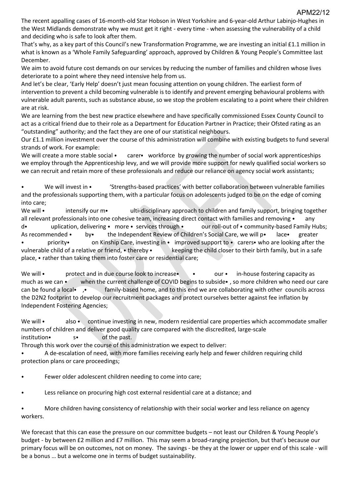The recent appalling cases of 16-month-old Star Hobson in West Yorkshire and 6-year-old Arthur Labinjo-Hughes in the West Midlands demonstrate why we must get it right - every time - when assessing the vulnerability of a child and deciding who is safe to look after them.

That's why, as a key part of this Council's new Transformation Programme, we are investing an initial £1.1 million in what is known as a 'Whole Family Safeguarding' approach, approved by Children & Young People's Committee last December.

We aim to avoid future cost demands on our services by reducing the number of families and children whose lives deteriorate to a point where they need intensive help from us.

And let's be clear, 'Early Help' doesn't just mean focusing attention on young children. The earliest form of intervention to prevent a child becoming vulnerable is to identify and prevent emerging behavioural problems with vulnerable adult parents, such as substance abuse, so we stop the problem escalating to a point where their children are at risk.

We are learning from the best new practice elsewhere and have specifically commissioned Essex County Council to act as a critical friend due to their role as a Department for Education Partner in Practice; their Ofsted rating as an "outstanding" authority; and the fact they are one of our statistical neighbours.

Our £1.1 million investment over the course of this administration will combine with existing budgets to fund several strands of work. For example:

We will create a more stable social • carer• workforce by growing the number of social work apprenticeships we employ through the Apprenticeship levy, and we will provide more support for newly qualified social workers so we can recruit and retain more of these professionals and reduce our reliance on agency social work assistants;

We will invest in • 'Strengths-based practices' with better collaboration between vulnerable families and the professionals supporting them, with a particular focus on adolescents judged to be on the edge of coming into care;

We will • intensify our m • ulti-disciplinary approach to children and family support, bringing together all relevant professionals into one cohesive team, increasing direct contact with families and removing • any d⦁ uplication, delivering ⦁ more ⦁ services through ⦁ our roll-out of ⦁ community-based Family Hubs; As recommended • by• the Independent Review of Children's Social Care, we will p• lace• greater • priority• on Kinship Care, investing in • improved support to • carers• who are looking after the vulnerable child of a relative or friend, • thereby • keeping the child closer to their birth family, but in a safe place, ⦁ rather than taking them into foster care or residential care;

We will • protect and in due course look to increase • • our • in-house fostering capacity as much as we can • when the current challenge of COVID begins to subside •, so more children who need our care can be found a local• , • family-based home, and to this end we are collaborating with other councils across the D2N2 footprint to develop our recruitment packages and protect ourselves better against fee inflation by Independent Fostering Agencies;

We will • also • continue investing in new, modern residential care properties which accommodate smaller numbers of children and deliver good quality care compared with the discredited, large-scale institution• s• of the past.

Through this work over the course of this administration we expect to deliver:

⦁ A de-escalation of need, with more families receiving early help and fewer children requiring child protection plans or care proceedings;

Fewer older adolescent children needing to come into care;

⦁ Less reliance on procuring high cost external residential care at a distance; and

⦁ More children having consistency of relationship with their social worker and less reliance on agency workers.

We forecast that this can ease the pressure on our committee budgets – not least our Children & Young People's budget - by between £2 million and £7 million. This may seem a broad-ranging projection, but that's because our primary focus will be on outcomes, not on money. The savings - be they at the lower or upper end of this scale - will be a bonus … but a welcome one in terms of budget sustainability.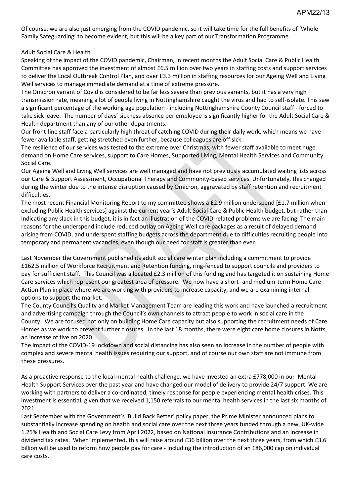Of course, we are also just emerging from the COVID pandemic, so it will take time for the full benefits of 'Whole Family Safeguarding' to become evident, but this will be a key part of our Transformation Programme.

#### Adult Social Care & Health

Speaking of the impact of the COVID pandemic, Chairman, in recent months the Adult Social Care & Public Health Committee has approved the investment of almost £6.5 million over two years in staffing costs and support services to deliver the Local Outbreak Control Plan, and over £3.3 million in staffing resources for our Ageing Well and Living Well services to manage immediate demand at a time of extreme pressure.

The Omicron variant of Covid is considered to be far less severe than previous variants, but it has a very high transmission rate, meaning a lot of people living in Nottinghamshire caught the virus and had to self-isolate. This saw a significant percentage of the working age population - including Nottinghamshire County Council staff - forced to take sick leave. The number of days' sickness absence per employee is significantly higher for the Adult Social Care & Health department than any of our other departments.

Our front-line staff face a particularly high threat of catching COVID during their daily work, which means we have fewer available staff, getting stretched even further, because colleagues are off sick.

The resilience of our services was tested to the extreme over Christmas, with fewer staff available to meet huge demand on Home Care services, support to Care Homes, Supported Living, Mental Health Services and Community Social Care.

Our Ageing Well and Living Well services are well managed and have not previously accumulated waiting lists across our Care & Support Assessment, Occupational Therapy and Community-based services. Unfortunately, this changed during the winter due to the intense disruption caused by Omicron, aggravated by staff retention and recruitment difficulties.

The most recent Financial Monitoring Report to my committee shows a £2.9 million underspend [£1.7 million when excluding Public Health services] against the current year's Adult Social Care & Public Health budget, but rather than indicating any slack in this budget, it is in fact an illustration of the COVID-related problems we are facing. The main reasons for the underspend include reduced outlay on Ageing Well care packages as a result of delayed demand arising from COVID, and underspent staffing budgets across the department due to difficulties recruiting people into temporary and permanent vacancies, even though our need for staff is greater than ever.

Last November the Government published its adult social care winter plan including a commitment to provide £162.5 million of Workforce Recruitment and Retention funding, ring-fenced to support councils and providers to pay for sufficient staff. This Council was allocated £2.3 million of this funding and has targeted it on sustaining Home Care services which represent our greatest area of pressure. We now have a short- and medium-term Home Care Action Plan in place where we are working with providers to increase capacity, and we are examining internal options to support the market.

The County Council's Quality and Market Management Team are leading this work and have launched a recruitment and advertising campaign through the Council's own channels to attract people to work in social care in the County. We are focused not only on building Home Care capacity but also supporting the recruitment needs of Care Homes as we work to prevent further closures. In the last 18 months, there were eight care home closures in Notts, an increase of five on 2020.

The impact of the COVID-19 lockdown and social distancing has also seen an increase in the number of people with complex and severe mental health issues requiring our support, and of course our own staff are not immune from these pressures.

As a proactive response to the local mental health challenge, we have invested an extra £778,000 in our Mental Health Support Services over the past year and have changed our model of delivery to provide 24/7 support. We are working with partners to deliver a co-ordinated, timely response for people experiencing mental health crises. This investment is essential, given that we received 1,150 referrals to our mental health services in the last six months of 2021.

Last September with the Government's 'Build Back Better' policy paper, the Prime Minister announced plans to substantially increase spending on health and social care over the next three years funded through a new, UK-wide 1.25% Health and Social Care Levy from April 2022, based on National Insurance Contributions and an increase in dividend tax rates. When implemented, this will raise around £36 billion over the next three years, from which £3.6 billion will be used to reform how people pay for care - including the introduction of an £86,000 cap on individual care costs.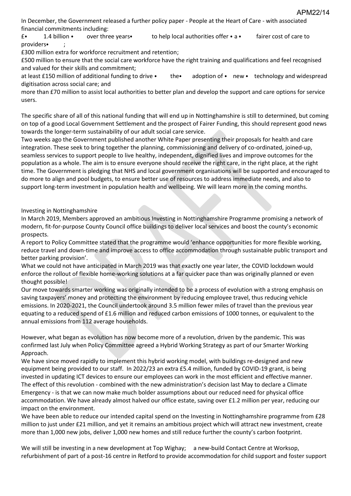APM22/14

In December, the Government released a further policy paper - People at the Heart of Care - with associated financial commitments including:

£⦁ 1.4 billion ⦁ over three years⦁ to help local authorities offer ⦁ a ⦁ fairer cost of care to providers⦁ ;

£300 million extra for workforce recruitment and retention;

£500 million to ensure that the social care workforce have the right training and qualifications and feel recognised and valued for their skills and commitment;

at least £150 million of additional funding to drive • the • adoption of • new • technology and widespread digitisation across social care; and

more than £70 million to assist local authorities to better plan and develop the support and care options for service users.

The specific share of all of this national funding that will end up in Nottinghamshire is still to determined, but coming on top of a good Local Government Settlement and the prospect of Fairer Funding, this should represent good news towards the longer-term sustainability of our adult social care service.

Two weeks ago the Government published another White Paper presenting their proposals for health and care integration. These seek to bring together the planning, commissioning and delivery of co-ordinated, joined-up, seamless services to support people to live healthy, independent, dignified lives and improve outcomes for the population as a whole. The aim is to ensure everyone should receive the right care, in the right place, at the right time. The Government is pledging that NHS and local government organisations will be supported and encouraged to do more to align and pool budgets, to ensure better use of resources to address immediate needs, and also to support long-term investment in population health and wellbeing. We will learn more in the coming months.

Investing in Nottinghamshire

In March 2019, Members approved an ambitious Investing in Nottinghamshire Programme promising a network of modern, fit-for-purpose County Council office buildings to deliver local services and boost the county's economic prospects.

A report to Policy Committee stated that the programme would 'enhance opportunities for more flexible working, reduce travel and down-time and improve access to office accommodation through sustainable public transport and better parking provision'.

What we could not have anticipated in March 2019 was that exactly one year later, the COVID lockdown would enforce the rollout of flexible home-working solutions at a far quicker pace than was originally planned or even thought possible!

Our move towards smarter working was originally intended to be a process of evolution with a strong emphasis on saving taxpayers' money and protecting the environment by reducing employee travel, thus reducing vehicle emissions. In 2020-2021, the Council undertook around 3.5 million fewer miles of travel than the previous year equating to a reduced spend of £1.6 million and reduced carbon emissions of 1000 tonnes, or equivalent to the annual emissions from 112 average households.

However, what began as evolution has now become more of a revolution, driven by the pandemic. This was confirmed last July when Policy Committee agreed a Hybrid Working Strategy as part of our Smarter Working Approach.

We have since moved rapidly to implement this hybrid working model, with buildings re-designed and new equipment being provided to our staff. In 2022/23 an extra £5.4 million, funded by COVID-19 grant, is being invested in updating ICT devices to ensure our employees can work in the most efficient and effective manner. The effect of this revolution - combined with the new administration's decision last May to declare a Climate Emergency - is that we can now make much bolder assumptions about our reduced need for physical office accommodation. We have already almost halved our office estate, saving over £1.2 million per year, reducing our impact on the environment.

We have been able to reduce our intended capital spend on the Investing in Nottinghamshire programme from £28 million to just under £21 million, and yet it remains an ambitious project which will attract new investment, create more than 1,000 new jobs, deliver 1,000 new homes and still reduce further the county's carbon footprint.

We will still be investing in a new development at Top Wighay; a new-build Contact Centre at Worksop, refurbishment of part of a post-16 centre in Retford to provide accommodation for child support and foster support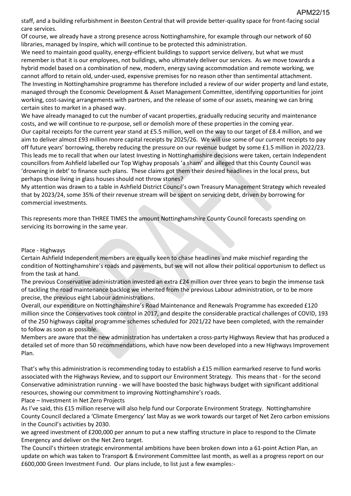staff, and a building refurbishment in Beeston Central that will provide better-quality space for front-facing social care services.

Of course, we already have a strong presence across Nottinghamshire, for example through our network of 60 libraries, managed by Inspire, which will continue to be protected this administration.

We need to maintain good quality, energy-efficient buildings to support service delivery, but what we must remember is that it is our employees, not buildings, who ultimately deliver our services. As we move towards a hybrid model based on a combination of new, modern, energy saving accommodation and remote working, we cannot afford to retain old, under-used, expensive premises for no reason other than sentimental attachment. The Investing in Nottinghamshire programme has therefore included a review of our wider property and land estate, managed through the Economic Development & Asset Management Committee, identifying opportunities for joint working, cost-saving arrangements with partners, and the release of some of our assets, meaning we can bring certain sites to market in a phased way.

We have already managed to cut the number of vacant properties, gradually reducing security and maintenance costs, and we will continue to re-purpose, sell or demolish more of these properties in the coming year. Our capital receipts for the current year stand at £5.5 million, well on the way to our target of £8.4 million, and we aim to deliver almost £93 million more capital receipts by 2025/26. We will use some of our current receipts to pay off future years' borrowing, thereby reducing the pressure on our revenue budget by some £1.5 million in 2022/23. This leads me to recall that when our latest Investing in Nottinghamshire decisions were taken, certain Independent councillors from Ashfield labelled our Top Wighay proposals 'a sham' and alleged that this County Council was 'drowning in debt' to finance such plans. These claims got them their desired headlines in the local press, but perhaps those living in glass houses should not throw stones?

My attention was drawn to a table in Ashfield District Council's own Treasury Management Strategy which revealed that by 2023/24, some 35% of their revenue stream will be spent on servicing debt, driven by borrowing for commercial investments.

This represents more than THREE TIMES the amount Nottinghamshire County Council forecasts spending on servicing its borrowing in the same year.

#### Place - Highways

Certain Ashfield Independent members are equally keen to chase headlines and make mischief regarding the condition of Nottinghamshire's roads and pavements, but we will not allow their political opportunism to deflect us from the task at hand.

The previous Conservative administration invested an extra £24 million over three years to begin the immense task of tackling the road maintenance backlog we inherited from the previous Labour administration, or to be more precise, the previous eight Labour administrations.

Overall, our expenditure on Nottinghamshire's Road Maintenance and Renewals Programme has exceeded £120 million since the Conservatives took control in 2017, and despite the considerable practical challenges of COVID, 193 of the 250 highways capital programme schemes scheduled for 2021/22 have been completed, with the remainder to follow as soon as possible.

Members are aware that the new administration has undertaken a cross-party Highways Review that has produced a detailed set of more than 50 recommendations, which have now been developed into a new Highways Improvement Plan.

That's why this administration is recommending today to establish a £15 million earmarked reserve to fund works associated with the Highways Review, and to support our Environment Strategy. This means that - for the second Conservative administration running - we will have boosted the basic highways budget with significant additional resources, showing our commitment to improving Nottinghamshire's roads.

Place – Investment in Net Zero Projects

As I've said, this £15 million reserve will also help fund our Corporate Environment Strategy. Nottinghamshire County Council declared a 'Climate Emergency' last May as we work towards our target of Net Zero carbon emissions in the Council's activities by 2030.

we agreed investment of £200,000 per annum to put a new staffing structure in place to respond to the Climate Emergency and deliver on the Net Zero target.

The Council's thirteen strategic environmental ambitions have been broken down into a 61-point Action Plan, an update on which was taken to Transport & Environment Committee last month, as well as a progress report on our £600,000 Green Investment Fund. Our plans include, to list just a few examples:-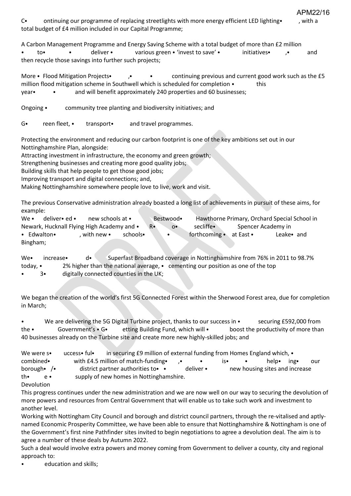C⦁ ontinuing our programme of replacing streetlights with more energy efficient LED lighting⦁ , with a total budget of £4 million included in our Capital Programme;

APM22/16

A Carbon Management Programme and Energy Saving Scheme with a total budget of more than £2 million to• • deliver • various green • 'invest to save' • initiatives • , • and then recycle those savings into further such projects;

More • Flood Mitigation Projects• , • • continuing previous and current good work such as the £5 million flood mitigation scheme in Southwell which is scheduled for completion • this year • and will benefit approximately 240 properties and 60 businesses;

Ongoing • community tree planting and biodiversity initiatives; and

G. reen fleet, **•** transport. and travel programmes.

Protecting the environment and reducing our carbon footprint is one of the key ambitions set out in our Nottinghamshire Plan, alongside:

Attracting investment in infrastructure, the economy and green growth;

Strengthening businesses and creating more good quality jobs;

Building skills that help people to get those good jobs;

Improving transport and digital connections; and,

Making Nottinghamshire somewhere people love to live, work and visit.

The previous Conservative administration already boasted a long list of achievements in pursuit of these aims, for example:

| We $\cdot$                                 | deliver• ed • | new schools at • |          |            | Bestwood•  |               |           | Hawthorne Primary, Orchard Special School in |
|--------------------------------------------|---------------|------------------|----------|------------|------------|---------------|-----------|----------------------------------------------|
| Newark, Hucknall Flying High Academy and • |               |                  |          | $R\bullet$ | $^{\circ}$ | secliffe•     |           | Spencer Academy in                           |
| • Edwalton•                                |               | with new •       | schools• |            |            | forthcoming • | at East • | Leake and                                    |
| Bingham;                                   |               |                  |          |            |            |               |           |                                              |

We• increase• d• Superfast Broadband coverage in Nottinghamshire from 76% in 2011 to 98.7% today, ⦁ 2% higher than the national average, ⦁ cementing our position as one of the top 3. digitally connected counties in the UK;

We began the creation of the world's first 5G Connected Forest within the Sherwood Forest area, due for completion in March;

We are delivering the 5G Digital Turbine project, thanks to our success in • securing £592,000 from the • Government's • G• etting Building Fund, which will • boost the productivity of more than 40 businesses already on the Turbine site and create more new highly-skilled jobs; and

| We were s•                    | uccess• ful•                              | in securing £9 million of external funding from Homes England which, • |                     |           |                                |  |       |      |     |
|-------------------------------|-------------------------------------------|------------------------------------------------------------------------|---------------------|-----------|--------------------------------|--|-------|------|-----|
| combined•                     |                                           | with £4.5 million of match-funding.                                    | $\cdot$ . $\bullet$ |           | ⊣s∙                            |  | help• | ing• | our |
| borough $\bullet$ / $\bullet$ | district partner authorities to $\bullet$ |                                                                        |                     | deliver • | new housing sites and increase |  |       |      |     |
| th•<br>$\rho \bullet$         | supply of new homes in Nottinghamshire.   |                                                                        |                     |           |                                |  |       |      |     |
|                               |                                           |                                                                        |                     |           |                                |  |       |      |     |

Devolution

This progress continues under the new administration and we are now well on our way to securing the devolution of more powers and resources from Central Government that will enable us to take such work and investment to another level.

Working with Nottingham City Council and borough and district council partners, through the re-vitalised and aptlynamed Economic Prosperity Committee, we have been able to ensure that Nottinghamshire & Nottingham is one of the Government's first nine Pathfinder sites invited to begin negotiations to agree a devolution deal. The aim is to agree a number of these deals by Autumn 2022.

Such a deal would involve extra powers and money coming from Government to deliver a county, city and regional approach to:

education and skills;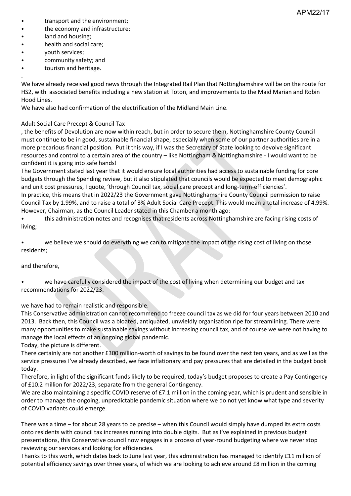- transport and the environment;
- ⦁ the economy and infrastructure;
- land and housing;
- health and social care;
- ⦁ youth services;
- community safety; and
- tourism and heritage.

. We have already received good news through the Integrated Rail Plan that Nottinghamshire will be on the route for HS2, with associated benefits including a new station at Toton, and improvements to the Maid Marian and Robin Hood Lines.

We have also had confirmation of the electrification of the Midland Main Line.

#### Adult Social Care Precept & Council Tax

, the benefits of Devolution are now within reach, but in order to secure them, Nottinghamshire County Council must continue to be in good, sustainable financial shape, especially when some of our partner authorities are in a more precarious financial position. Put it this way, if I was the Secretary of State looking to devolve significant resources and control to a certain area of the country – like Nottingham & Nottinghamshire - I would want to be confident it is going into safe hands!

The Government stated last year that it would ensure local authorities had access to sustainable funding for core budgets through the Spending review, but it also stipulated that councils would be expected to meet demographic and unit cost pressures, I quote, 'through Council tax, social care precept and long-term-efficiencies'.

In practice, this means that in 2022/23 the Government gave Nottinghamshire County Council permission to raise Council Tax by 1.99%, and to raise a total of 3% Adult Social Care Precept. This would mean a total increase of 4.99%. However, Chairman, as the Council Leader stated in this Chamber a month ago:

⦁ this administration notes and recognises that residents across Nottinghamshire are facing rising costs of living;

we believe we should do everything we can to mitigate the impact of the rising cost of living on those residents;

#### and therefore,

we have carefully considered the impact of the cost of living when determining our budget and tax recommendations for 2022/23.

we have had to remain realistic and responsible.

This Conservative administration cannot recommend to freeze council tax as we did for four years between 2010 and 2013. Back then, this Council was a bloated, antiquated, unwieldly organisation ripe for streamlining. There were many opportunities to make sustainable savings without increasing council tax, and of course we were not having to manage the local effects of an ongoing global pandemic.

Today, the picture is different.

There certainly are not another £300 million-worth of savings to be found over the next ten years, and as well as the service pressures I've already described, we face inflationary and pay pressures that are detailed in the budget book today.

Therefore, in light of the significant funds likely to be required, today's budget proposes to create a Pay Contingency of £10.2 million for 2022/23, separate from the general Contingency.

We are also maintaining a specific COVID reserve of £7.1 million in the coming year, which is prudent and sensible in order to manage the ongoing, unpredictable pandemic situation where we do not yet know what type and severity of COVID variants could emerge.

There was a time – for about 28 years to be precise – when this Council would simply have dumped its extra costs onto residents with council tax increases running into double digits. But as I've explained in previous budget presentations, this Conservative council now engages in a process of year-round budgeting where we never stop reviewing our services and looking for efficiencies.

Thanks to this work, which dates back to June last year, this administration has managed to identify £11 million of potential efficiency savings over three years, of which we are looking to achieve around £8 million in the coming